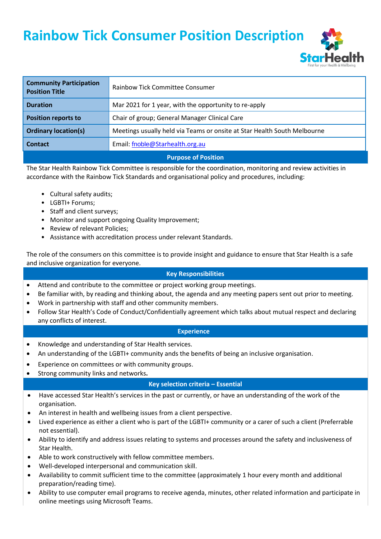**Rainbow Tick Consumer Position Description**



| <b>Community Participation</b><br><b>Position Title</b> | Rainbow Tick Committee Consumer                                          |  |  |
|---------------------------------------------------------|--------------------------------------------------------------------------|--|--|
| <b>Duration</b>                                         | Mar 2021 for 1 year, with the opportunity to re-apply                    |  |  |
| <b>Position reports to</b>                              | Chair of group; General Manager Clinical Care                            |  |  |
| <b>Ordinary location(s)</b>                             | Meetings usually held via Teams or onsite at Star Health South Melbourne |  |  |
| <b>Contact</b>                                          | Email: fnoble@Starhealth.org.au                                          |  |  |
| <b>Purpose of Position</b>                              |                                                                          |  |  |

The Star Health Rainbow Tick Committee is responsible for the coordination, monitoring and review activities in accordance with the Rainbow Tick Standards and organisational policy and procedures, including:

- Cultural safety audits;
- LGBTI+ Forums;
- Staff and client surveys;
- Monitor and support ongoing Quality Improvement;
- Review of relevant Policies;
- Assistance with accreditation process under relevant Standards.

The role of the consumers on this committee is to provide insight and guidance to ensure that Star Health is a safe and inclusive organization for everyone.

## **Key Responsibilities**

- Attend and contribute to the committee or project working group meetings.
- Be familiar with, by reading and thinking about, the agenda and any meeting papers sent out prior to meeting.
- Work in partnership with staff and other community members.
- Follow Star Health's Code of Conduct/Confidentially agreement which talks about mutual respect and declaring any conflicts of interest.

### **Experience**

- Knowledge and understanding of Star Health services.
- An understanding of the LGBTI+ community ands the benefits of being an inclusive organisation.
- Experience on committees or with community groups.
- Strong community links and networks**.**

### **Key selection criteria – Essential**

- Have accessed Star Health's services in the past or currently, or have an understanding of the work of the organisation.
- An interest in health and wellbeing issues from a client perspective.
- Lived experience as either a client who is part of the LGBTI+ community or a carer of such a client (Preferrable not essential).
- Ability to identify and address issues relating to systems and processes around the safety and inclusiveness of Star Health.
- Able to work constructively with fellow committee members.
- Well-developed interpersonal and communication skill.
- Availability to commit sufficient time to the committee (approximately 1 hour every month and additional preparation/reading time).
- Ability to use computer email programs to receive agenda, minutes, other related information and participate in online meetings using Microsoft Teams.